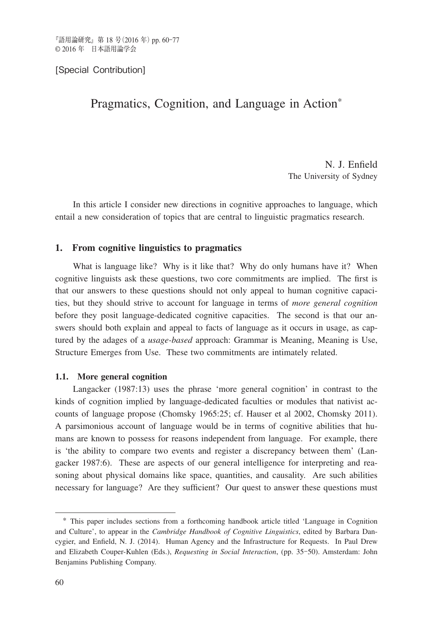[Special Contribution]

# Pragmatics, Cognition, and Language in Action\*

N. J. Enfield The University of Sydney

In this article I consider new directions in cognitive approaches to language, which entail a new consideration of topics that are central to linguistic pragmatics research.

# **1. From cognitive linguistics to pragmatics**

What is language like? Why is it like that? Why do only humans have it? When cognitive linguists ask these questions, two core commitments are implied. The first is that our answers to these questions should not only appeal to human cognitive capacities, but they should strive to account for language in terms of *more general cognition* before they posit language-dedicated cognitive capacities. The second is that our answers should both explain and appeal to facts of language as it occurs in usage, as captured by the adages of a *usage-based* approach: Grammar is Meaning, Meaning is Use, Structure Emerges from Use. These two commitments are intimately related.

## **1.1. More general cognition**

Langacker (1987:13) uses the phrase 'more general cognition' in contrast to the kinds of cognition implied by language-dedicated faculties or modules that nativist accounts of language propose (Chomsky 1965:25; cf. Hauser et al 2002, Chomsky 2011). A parsimonious account of language would be in terms of cognitive abilities that humans are known to possess for reasons independent from language. For example, there is 'the ability to compare two events and register a discrepancy between them' (Langacker 1987:6). These are aspects of our general intelligence for interpreting and reasoning about physical domains like space, quantities, and causality. Are such abilities necessary for language? Are they sufficient? Our quest to answer these questions must

<sup>\*</sup> This paper includes sections from a forthcoming handbook article titled 'Language in Cognition and Culture', to appear in the *Cambridge Handbook of Cognitive Linguistics*, edited by Barbara Dancygier, and Enfield, N. J. (2014). Human Agency and the Infrastructure for Requests. In Paul Drew and Elizabeth Couper-Kuhlen (Eds.), *Requesting in Social Interaction*, (pp. 35-50). Amsterdam: John Benjamins Publishing Company.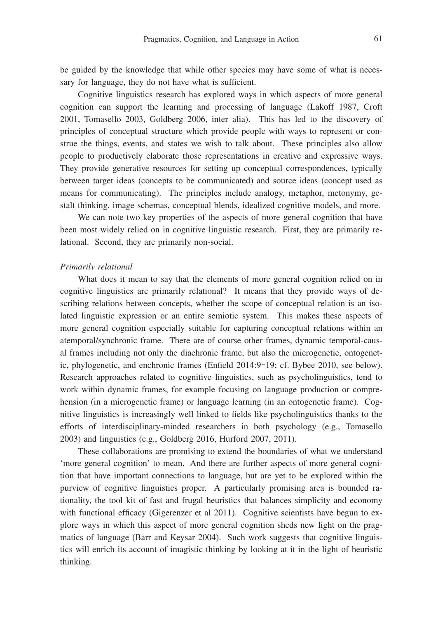be guided by the knowledge that while other species may have some of what is necessary for language, they do not have what is sufficient.

Cognitive linguistics research has explored ways in which aspects of more general cognition can support the learning and processing of language (Lakoff 1987, Croft 2001, Tomasello 2003, Goldberg 2006, inter alia). This has led to the discovery of principles of conceptual structure which provide people with ways to represent or construe the things, events, and states we wish to talk about. These principles also allow people to productively elaborate those representations in creative and expressive ways. They provide generative resources for setting up conceptual correspondences, typically between target ideas (concepts to be communicated) and source ideas (concept used as means for communicating). The principles include analogy, metaphor, metonymy, gestalt thinking, image schemas, conceptual blends, idealized cognitive models, and more.

We can note two key properties of the aspects of more general cognition that have been most widely relied on in cognitive linguistic research. First, they are primarily relational. Second, they are primarily non-social.

## *Primarily relational*

What does it mean to say that the elements of more general cognition relied on in cognitive linguistics are primarily relational? It means that they provide ways of describing relations between concepts, whether the scope of conceptual relation is an isolated linguistic expression or an entire semiotic system. This makes these aspects of more general cognition especially suitable for capturing conceptual relations within an atemporal/synchronic frame. There are of course other frames, dynamic temporal-causal frames including not only the diachronic frame, but also the microgenetic, ontogenetic, phylogenetic, and enchronic frames (Enfield 2014:9-19; cf. Bybee 2010, see below). Research approaches related to cognitive linguistics, such as psycholinguistics, tend to work within dynamic frames, for example focusing on language production or comprehension (in a microgenetic frame) or language learning (in an ontogenetic frame). Cognitive linguistics is increasingly well linked to fields like psycholinguistics thanks to the efforts of interdisciplinary-minded researchers in both psychology (e.g., Tomasello 2003) and linguistics (e.g., Goldberg 2016, Hurford 2007, 2011).

These collaborations are promising to extend the boundaries of what we understand 'more general cognition' to mean. And there are further aspects of more general cognition that have important connections to language, but are yet to be explored within the purview of cognitive linguistics proper. A particularly promising area is bounded rationality, the tool kit of fast and frugal heuristics that balances simplicity and economy with functional efficacy (Gigerenzer et al 2011). Cognitive scientists have begun to explore ways in which this aspect of more general cognition sheds new light on the pragmatics of language (Barr and Keysar 2004). Such work suggests that cognitive linguistics will enrich its account of imagistic thinking by looking at it in the light of heuristic thinking.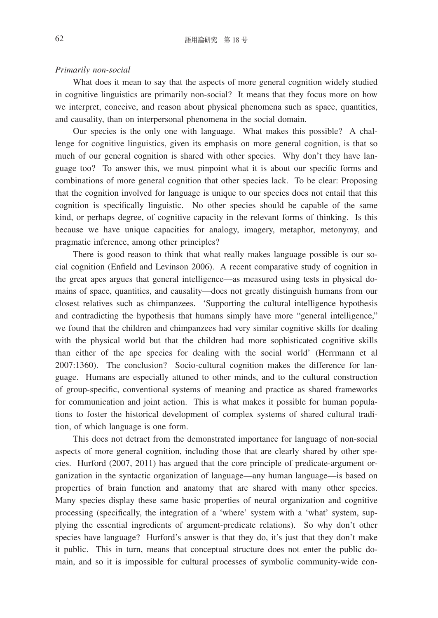#### *Primarily non-social*

What does it mean to say that the aspects of more general cognition widely studied in cognitive linguistics are primarily non-social? It means that they focus more on how we interpret, conceive, and reason about physical phenomena such as space, quantities, and causality, than on interpersonal phenomena in the social domain.

Our species is the only one with language. What makes this possible? A challenge for cognitive linguistics, given its emphasis on more general cognition, is that so much of our general cognition is shared with other species. Why don't they have language too? To answer this, we must pinpoint what it is about our specific forms and combinations of more general cognition that other species lack. To be clear: Proposing that the cognition involved for language is unique to our species does not entail that this cognition is specifically linguistic. No other species should be capable of the same kind, or perhaps degree, of cognitive capacity in the relevant forms of thinking. Is this because we have unique capacities for analogy, imagery, metaphor, metonymy, and pragmatic inference, among other principles?

There is good reason to think that what really makes language possible is our social cognition (Enfield and Levinson 2006). A recent comparative study of cognition in the great apes argues that general intelligence—as measured using tests in physical domains of space, quantities, and causality—does not greatly distinguish humans from our closest relatives such as chimpanzees. 'Supporting the cultural intelligence hypothesis and contradicting the hypothesis that humans simply have more "general intelligence," we found that the children and chimpanzees had very similar cognitive skills for dealing with the physical world but that the children had more sophisticated cognitive skills than either of the ape species for dealing with the social world' (Herrmann et al 2007:1360). The conclusion? Socio-cultural cognition makes the difference for language. Humans are especially attuned to other minds, and to the cultural construction of group-specific, conventional systems of meaning and practice as shared frameworks for communication and joint action. This is what makes it possible for human populations to foster the historical development of complex systems of shared cultural tradition, of which language is one form.

This does not detract from the demonstrated importance for language of non-social aspects of more general cognition, including those that are clearly shared by other species. Hurford (2007, 2011) has argued that the core principle of predicate-argument organization in the syntactic organization of language—any human language—is based on properties of brain function and anatomy that are shared with many other species. Many species display these same basic properties of neural organization and cognitive processing (specifically, the integration of a 'where' system with a 'what' system, supplying the essential ingredients of argument-predicate relations). So why don't other species have language? Hurford's answer is that they do, it's just that they don't make it public. This in turn, means that conceptual structure does not enter the public domain, and so it is impossible for cultural processes of symbolic community-wide con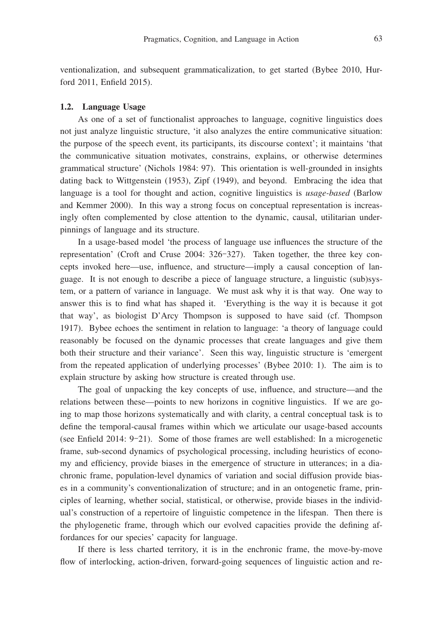ventionalization, and subsequent grammaticalization, to get started (Bybee 2010, Hurford 2011, Enfield 2015).

#### **1.2. Language Usage**

As one of a set of functionalist approaches to language, cognitive linguistics does not just analyze linguistic structure, 'it also analyzes the entire communicative situation: the purpose of the speech event, its participants, its discourse context'; it maintains 'that the communicative situation motivates, constrains, explains, or otherwise determines grammatical structure' (Nichols 1984: 97). This orientation is well-grounded in insights dating back to Wittgenstein (1953), Zipf (1949), and beyond. Embracing the idea that language is a tool for thought and action, cognitive linguistics is *usage-based* (Barlow and Kemmer 2000). In this way a strong focus on conceptual representation is increasingly often complemented by close attention to the dynamic, causal, utilitarian underpinnings of language and its structure.

In a usage-based model 'the process of language use influences the structure of the representation' (Croft and Cruse 2004: 326-327). Taken together, the three key concepts invoked here—use, influence, and structure—imply a causal conception of language. It is not enough to describe a piece of language structure, a linguistic (sub)system, or a pattern of variance in language. We must ask why it is that way. One way to answer this is to find what has shaped it. 'Everything is the way it is because it got that way', as biologist D'Arcy Thompson is supposed to have said (cf. Thompson 1917). Bybee echoes the sentiment in relation to language: 'a theory of language could reasonably be focused on the dynamic processes that create languages and give them both their structure and their variance'. Seen this way, linguistic structure is 'emergent from the repeated application of underlying processes' (Bybee 2010: 1). The aim is to explain structure by asking how structure is created through use.

The goal of unpacking the key concepts of use, influence, and structure—and the relations between these—points to new horizons in cognitive linguistics. If we are going to map those horizons systematically and with clarity, a central conceptual task is to define the temporal-causal frames within which we articulate our usage-based accounts (see Enfield 2014: 9-21). Some of those frames are well established: In a microgenetic frame, sub-second dynamics of psychological processing, including heuristics of economy and efficiency, provide biases in the emergence of structure in utterances; in a diachronic frame, population-level dynamics of variation and social diffusion provide biases in a community's conventionalization of structure; and in an ontogenetic frame, principles of learning, whether social, statistical, or otherwise, provide biases in the individual's construction of a repertoire of linguistic competence in the lifespan. Then there is the phylogenetic frame, through which our evolved capacities provide the defining affordances for our species' capacity for language.

If there is less charted territory, it is in the enchronic frame, the move-by-move flow of interlocking, action-driven, forward-going sequences of linguistic action and re-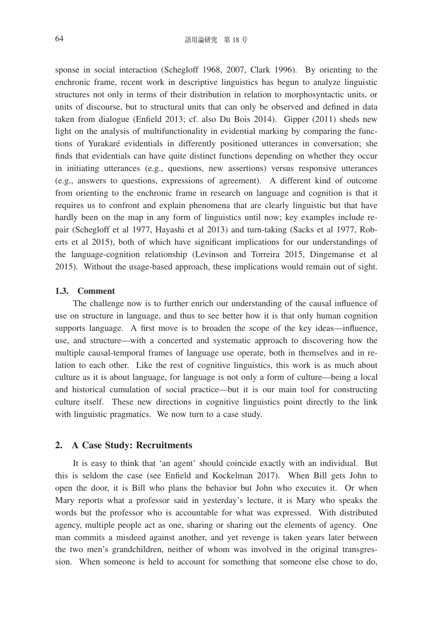sponse in social interaction (Schegloff 1968, 2007, Clark 1996). By orienting to the enchronic frame, recent work in descriptive linguistics has begun to analyze linguistic structures not only in terms of their distribution in relation to morphosyntactic units, or units of discourse, but to structural units that can only be observed and defined in data taken from dialogue (Enfield 2013; cf. also Du Bois 2014). Gipper (2011) sheds new light on the analysis of multifunctionality in evidential marking by comparing the functions of Yurakaré evidentials in differently positioned utterances in conversation; she finds that evidentials can have quite distinct functions depending on whether they occur in initiating utterances (e.g., questions, new assertions) versus responsive utterances (e.g., answers to questions, expressions of agreement). A different kind of outcome from orienting to the enchronic frame in research on language and cognition is that it requires us to confront and explain phenomena that are clearly linguistic but that have hardly been on the map in any form of linguistics until now; key examples include repair (Schegloff et al 1977, Hayashi et al 2013) and turn-taking (Sacks et al 1977, Roberts et al 2015), both of which have significant implications for our understandings of the language-cognition relationship (Levinson and Torreira 2015, Dingemanse et al 2015). Without the usage-based approach, these implications would remain out of sight.

## **1.3. Comment**

The challenge now is to further enrich our understanding of the causal influence of use on structure in language, and thus to see better how it is that only human cognition supports language. A first move is to broaden the scope of the key ideas—influence, use, and structure—with a concerted and systematic approach to discovering how the multiple causal-temporal frames of language use operate, both in themselves and in relation to each other. Like the rest of cognitive linguistics, this work is as much about culture as it is about language, for language is not only a form of culture—being a local and historical cumulation of social practice—but it is our main tool for constructing culture itself. These new directions in cognitive linguistics point directly to the link with linguistic pragmatics. We now turn to a case study.

#### **2. A Case Study: Recruitments**

It is easy to think that 'an agent' should coincide exactly with an individual. But this is seldom the case (see Enfield and Kockelman 2017). When Bill gets John to open the door, it is Bill who plans the behavior but John who executes it. Or when Mary reports what a professor said in yesterday's lecture, it is Mary who speaks the words but the professor who is accountable for what was expressed. With distributed agency, multiple people act as one, sharing or sharing out the elements of agency. One man commits a misdeed against another, and yet revenge is taken years later between the two men's grandchildren, neither of whom was involved in the original transgression. When someone is held to account for something that someone else chose to do,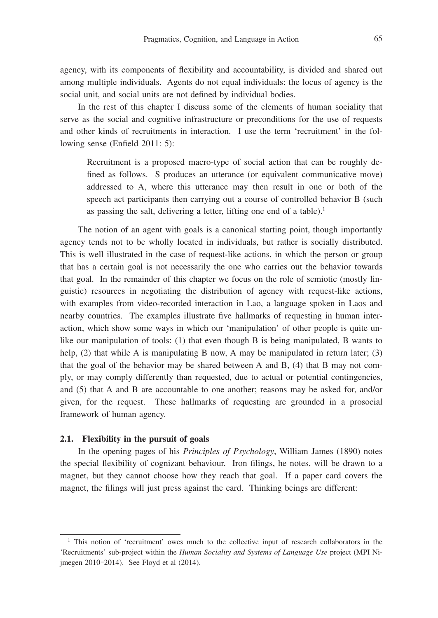agency, with its components of flexibility and accountability, is divided and shared out among multiple individuals. Agents do not equal individuals: the locus of agency is the social unit, and social units are not defined by individual bodies.

In the rest of this chapter I discuss some of the elements of human sociality that serve as the social and cognitive infrastructure or preconditions for the use of requests and other kinds of recruitments in interaction. I use the term 'recruitment' in the following sense (Enfield 2011: 5):

Recruitment is a proposed macro-type of social action that can be roughly defined as follows. S produces an utterance (or equivalent communicative move) addressed to A, where this utterance may then result in one or both of the speech act participants then carrying out a course of controlled behavior B (such as passing the salt, delivering a letter, lifting one end of a table).<sup>1</sup>

The notion of an agent with goals is a canonical starting point, though importantly agency tends not to be wholly located in individuals, but rather is socially distributed. This is well illustrated in the case of request-like actions, in which the person or group that has a certain goal is not necessarily the one who carries out the behavior towards that goal. In the remainder of this chapter we focus on the role of semiotic (mostly linguistic) resources in negotiating the distribution of agency with request-like actions, with examples from video-recorded interaction in Lao, a language spoken in Laos and nearby countries. The examples illustrate five hallmarks of requesting in human interaction, which show some ways in which our 'manipulation' of other people is quite unlike our manipulation of tools: (1) that even though B is being manipulated, B wants to help,  $(2)$  that while A is manipulating B now, A may be manipulated in return later;  $(3)$ that the goal of the behavior may be shared between A and B, (4) that B may not comply, or may comply differently than requested, due to actual or potential contingencies, and (5) that A and B are accountable to one another; reasons may be asked for, and/or given, for the request. These hallmarks of requesting are grounded in a prosocial framework of human agency.

#### **2.1. Flexibility in the pursuit of goals**

In the opening pages of his *Principles of Psychology*, William James (1890) notes the special flexibility of cognizant behaviour. Iron filings, he notes, will be drawn to a magnet, but they cannot choose how they reach that goal. If a paper card covers the magnet, the filings will just press against the card. Thinking beings are different:

<sup>&</sup>lt;sup>1</sup> This notion of 'recruitment' owes much to the collective input of research collaborators in the 'Recruitments' sub-project within the *Human Sociality and Systems of Language Use* project (MPI Nijmegen 2010-2014). See Floyd et al (2014).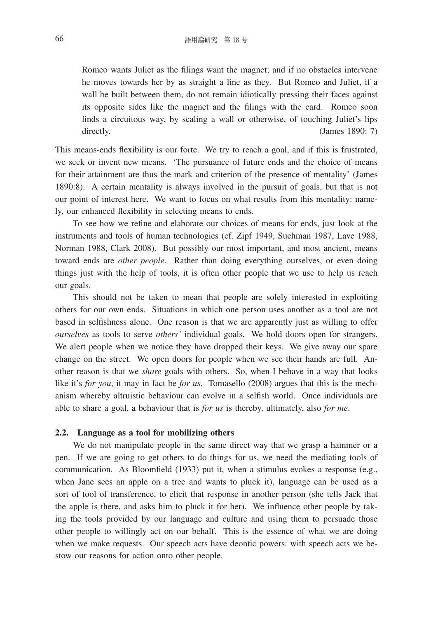Romeo wants Juliet as the filings want the magnet; and if no obstacles intervene he moves towards her by as straight a line as they. But Romeo and Juliet, if a wall be built between them, do not remain idiotically pressing their faces against its opposite sides like the magnet and the filings with the card. Romeo soon finds a circuitous way, by scaling a wall or otherwise, of touching Juliet's lips directly. (James 1890: 7)

This means-ends flexibility is our forte. We try to reach a goal, and if this is frustrated, we seek or invent new means. 'The pursuance of future ends and the choice of means for their attainment are thus the mark and criterion of the presence of mentality' (James 1890:8). A certain mentality is always involved in the pursuit of goals, but that is not our point of interest here. We want to focus on what results from this mentality: namely, our enhanced flexibility in selecting means to ends.

To see how we refine and elaborate our choices of means for ends, just look at the instruments and tools of human technologies (cf. Zipf 1949, Suchman 1987, Lave 1988, Norman 1988, Clark 2008). But possibly our most important, and most ancient, means toward ends are *other people*. Rather than doing everything ourselves, or even doing things just with the help of tools, it is often other people that we use to help us reach our goals.

This should not be taken to mean that people are solely interested in exploiting others for our own ends. Situations in which one person uses another as a tool are not based in selfishness alone. One reason is that we are apparently just as willing to offer *ourselves* as tools to serve *others'* individual goals. We hold doors open for strangers. We alert people when we notice they have dropped their keys. We give away our spare change on the street. We open doors for people when we see their hands are full. Another reason is that we *share* goals with others. So, when I behave in a way that looks like it's *for you*, it may in fact be *for us*. Tomasello (2008) argues that this is the mechanism whereby altruistic behaviour can evolve in a selfish world. Once individuals are able to share a goal, a behaviour that is *for us* is thereby, ultimately, also *for me*.

#### **2.2. Language as a tool for mobilizing others**

We do not manipulate people in the same direct way that we grasp a hammer or a pen. If we are going to get others to do things for us, we need the mediating tools of communication. As Bloomfield (1933) put it, when a stimulus evokes a response (e.g., when Jane sees an apple on a tree and wants to pluck it), language can be used as a sort of tool of transference, to elicit that response in another person (she tells Jack that the apple is there, and asks him to pluck it for her). We influence other people by taking the tools provided by our language and culture and using them to persuade those other people to willingly act on our behalf. This is the essence of what we are doing when we make requests. Our speech acts have deontic powers: with speech acts we bestow our reasons for action onto other people.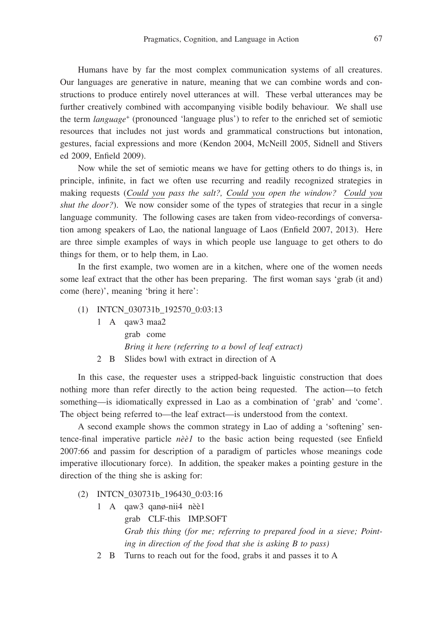Humans have by far the most complex communication systems of all creatures. Our languages are generative in nature, meaning that we can combine words and constructions to produce entirely novel utterances at will. These verbal utterances may be further creatively combined with accompanying visible bodily behaviour. We shall use the term *language*+ (pronounced 'language plus') to refer to the enriched set of semiotic resources that includes not just words and grammatical constructions but intonation, gestures, facial expressions and more (Kendon 2004, McNeill 2005, Sidnell and Stivers ed 2009, Enfield 2009).

Now while the set of semiotic means we have for getting others to do things is, in principle, infinite, in fact we often use recurring and readily recognized strategies in making requests (*Could you pass the salt?, Could you open the window? Could you shut the door?*). We now consider some of the types of strategies that recur in a single language community. The following cases are taken from video-recordings of conversation among speakers of Lao, the national language of Laos (Enfield 2007, 2013). Here are three simple examples of ways in which people use language to get others to do things for them, or to help them, in Lao.

In the first example, two women are in a kitchen, where one of the women needs some leaf extract that the other has been preparing. The first woman says 'grab (it and) come (here)', meaning 'bring it here':

- (1) INTCN\_030731b\_192570\_0:03:13
	- 1 A qaw3 maa2 grab come  *Bring it here (referring to a bowl of leaf extract)* 2 B Slides bowl with extract in direction of A

In this case, the requester uses a stripped-back linguistic construction that does nothing more than refer directly to the action being requested. The action—to fetch something—is idiomatically expressed in Lao as a combination of 'grab' and 'come'. The object being referred to—the leaf extract—is understood from the context.

A second example shows the common strategy in Lao of adding a 'softening' sentence-final imperative particle *nèè1* to the basic action being requested (see Enfield 2007:66 and passim for description of a paradigm of particles whose meanings code imperative illocutionary force). In addition, the speaker makes a pointing gesture in the direction of the thing she is asking for:

(2) INTCN\_030731b\_196430\_0:03:16

 1 A qaw3 qanø-nii4 nèè1 grab CLF-this IMP.SOFT  *Grab this thing (for me; referring to prepared food in a sieve; Pointing in direction of the food that she is asking B to pass)*

2 B Turns to reach out for the food, grabs it and passes it to A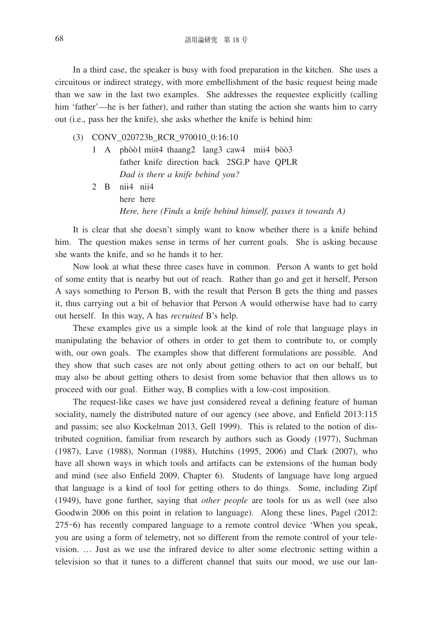In a third case, the speaker is busy with food preparation in the kitchen. She uses a circuitous or indirect strategy, with more embellishment of the basic request being made than we saw in the last two examples. She addresses the requestee explicitly (calling him 'father'—he is her father), and rather than stating the action she wants him to carry out (i.e., pass her the knife), she asks whether the knife is behind him:

- (3) CONV\_020723b\_RCR\_970010\_0:16:10
	- 1 A phòò1 miit4 thaang2 lang3 caw4 mii4 bòò3 father knife direction back 2SG.P have QPLR  *Dad is there a knife behind you?*
	- 2 B nii4 nii4 here here  *Here, here (Finds a knife behind himself, passes it towards A)*

It is clear that she doesn't simply want to know whether there is a knife behind him. The question makes sense in terms of her current goals. She is asking because she wants the knife, and so he hands it to her.

Now look at what these three cases have in common. Person A wants to get hold of some entity that is nearby but out of reach. Rather than go and get it herself, Person A says something to Person B, with the result that Person B gets the thing and passes it, thus carrying out a bit of behavior that Person A would otherwise have had to carry out herself. In this way, A has *recruited* B's help.

These examples give us a simple look at the kind of role that language plays in manipulating the behavior of others in order to get them to contribute to, or comply with, our own goals. The examples show that different formulations are possible. And they show that such cases are not only about getting others to act on our behalf, but may also be about getting others to desist from some behavior that then allows us to proceed with our goal. Either way, B complies with a low-cost imposition.

The request-like cases we have just considered reveal a defining feature of human sociality, namely the distributed nature of our agency (see above, and Enfield 2013:115 and passim; see also Kockelman 2013, Gell 1999). This is related to the notion of distributed cognition, familiar from research by authors such as Goody (1977), Suchman (1987), Lave (1988), Norman (1988), Hutchins (1995, 2006) and Clark (2007), who have all shown ways in which tools and artifacts can be extensions of the human body and mind (see also Enfield 2009, Chapter 6). Students of language have long argued that language is a kind of tool for getting others to do things. Some, including Zipf (1949), have gone further, saying that *other people* are tools for us as well (see also Goodwin 2006 on this point in relation to language). Along these lines, Pagel (2012: 275-6) has recently compared language to a remote control device 'When you speak, you are using a form of telemetry, not so different from the remote control of your television. … Just as we use the infrared device to alter some electronic setting within a television so that it tunes to a different channel that suits our mood, we use our lan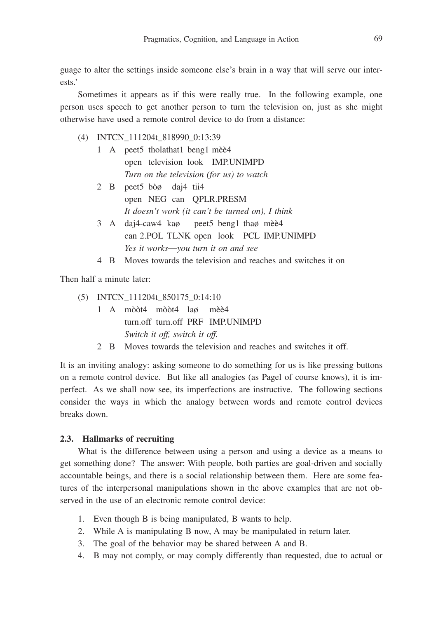guage to alter the settings inside someone else's brain in a way that will serve our interests.'

Sometimes it appears as if this were really true. In the following example, one person uses speech to get another person to turn the television on, just as she might otherwise have used a remote control device to do from a distance:

- (4) INTCN\_111204t\_818990\_0:13:39
	- 1 A peet5 tholathat1 beng1 mèè4 open television look IMP.UNIMPD  *Turn on the television (for us) to watch*
	- 2 B peet5 bòø daj4 tii4 open NEG can QPLR.PRESM  *It doesn't work (it can't be turned on), I think*
	- 3 A daj4-caw4 kaø peet5 beng1 thaø mèè4 can 2.POL TLNK open look PCL IMP.UNIMPD  *Yes it works*—*you turn it on and see*
	- 4 B Moves towards the television and reaches and switches it on

Then half a minute later:

- (5) INTCN\_111204t\_850175\_0:14:10
	- 1 A mòòt4 mòòt4 laø mèè4 turn.off turn.off PRF IMP.UNIMPD  *Switch it off, switch it off.*
	- 2 B Moves towards the television and reaches and switches it off.

It is an inviting analogy: asking someone to do something for us is like pressing buttons on a remote control device. But like all analogies (as Pagel of course knows), it is imperfect. As we shall now see, its imperfections are instructive. The following sections consider the ways in which the analogy between words and remote control devices breaks down.

#### **2.3. Hallmarks of recruiting**

What is the difference between using a person and using a device as a means to get something done? The answer: With people, both parties are goal-driven and socially accountable beings, and there is a social relationship between them. Here are some features of the interpersonal manipulations shown in the above examples that are not observed in the use of an electronic remote control device:

- 1. Even though B is being manipulated, B wants to help.
- 2. While A is manipulating B now, A may be manipulated in return later.
- 3. The goal of the behavior may be shared between A and B.
- 4. B may not comply, or may comply differently than requested, due to actual or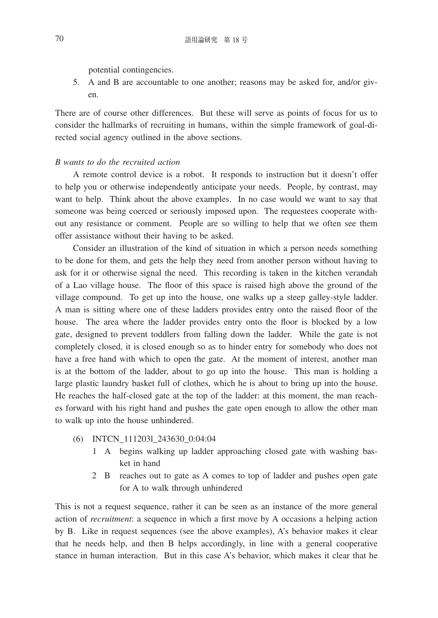potential contingencies.

5. A and B are accountable to one another; reasons may be asked for, and/or given.

There are of course other differences. But these will serve as points of focus for us to consider the hallmarks of recruiting in humans, within the simple framework of goal-directed social agency outlined in the above sections.

# *B wants to do the recruited action*

A remote control device is a robot. It responds to instruction but it doesn't offer to help you or otherwise independently anticipate your needs. People, by contrast, may want to help. Think about the above examples. In no case would we want to say that someone was being coerced or seriously imposed upon. The requestees cooperate without any resistance or comment. People are so willing to help that we often see them offer assistance without their having to be asked.

Consider an illustration of the kind of situation in which a person needs something to be done for them, and gets the help they need from another person without having to ask for it or otherwise signal the need. This recording is taken in the kitchen verandah of a Lao village house. The floor of this space is raised high above the ground of the village compound. To get up into the house, one walks up a steep galley-style ladder. A man is sitting where one of these ladders provides entry onto the raised floor of the house. The area where the ladder provides entry onto the floor is blocked by a low gate, designed to prevent toddlers from falling down the ladder. While the gate is not completely closed, it is closed enough so as to hinder entry for somebody who does not have a free hand with which to open the gate. At the moment of interest, another man is at the bottom of the ladder, about to go up into the house. This man is holding a large plastic laundry basket full of clothes, which he is about to bring up into the house. He reaches the half-closed gate at the top of the ladder: at this moment, the man reaches forward with his right hand and pushes the gate open enough to allow the other man to walk up into the house unhindered.

- (6) INTCN\_111203l\_243630\_0:04:04
	- 1 A begins walking up ladder approaching closed gate with washing basket in hand
	- 2 B reaches out to gate as A comes to top of ladder and pushes open gate for A to walk through unhindered

This is not a request sequence, rather it can be seen as an instance of the more general action of *recruitment*: a sequence in which a first move by A occasions a helping action by B. Like in request sequences (see the above examples), A's behavior makes it clear that he needs help, and then B helps accordingly, in line with a general cooperative stance in human interaction. But in this case A's behavior, which makes it clear that he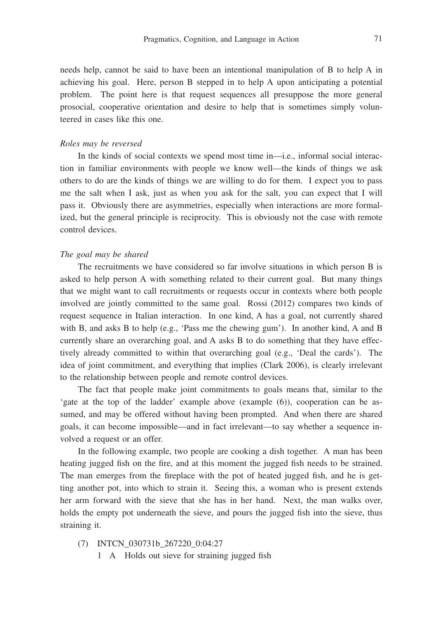needs help, cannot be said to have been an intentional manipulation of B to help A in achieving his goal. Here, person B stepped in to help A upon anticipating a potential problem. The point here is that request sequences all presuppose the more general prosocial, cooperative orientation and desire to help that is sometimes simply volunteered in cases like this one.

#### *Roles may be reversed*

In the kinds of social contexts we spend most time in—i.e., informal social interaction in familiar environments with people we know well—the kinds of things we ask others to do are the kinds of things we are willing to do for them. I expect you to pass me the salt when I ask, just as when you ask for the salt, you can expect that I will pass it. Obviously there are asymmetries, especially when interactions are more formalized, but the general principle is reciprocity. This is obviously not the case with remote control devices.

# *The goal may be shared*

The recruitments we have considered so far involve situations in which person B is asked to help person A with something related to their current goal. But many things that we might want to call recruitments or requests occur in contexts where both people involved are jointly committed to the same goal. Rossi (2012) compares two kinds of request sequence in Italian interaction. In one kind, A has a goal, not currently shared with B, and asks B to help (e.g., 'Pass me the chewing gum'). In another kind, A and B currently share an overarching goal, and A asks B to do something that they have effectively already committed to within that overarching goal (e.g., 'Deal the cards'). The idea of joint commitment, and everything that implies (Clark 2006), is clearly irrelevant to the relationship between people and remote control devices.

The fact that people make joint commitments to goals means that, similar to the 'gate at the top of the ladder' example above (example (6)), cooperation can be assumed, and may be offered without having been prompted. And when there are shared goals, it can become impossible—and in fact irrelevant—to say whether a sequence involved a request or an offer.

In the following example, two people are cooking a dish together. A man has been heating jugged fish on the fire, and at this moment the jugged fish needs to be strained. The man emerges from the fireplace with the pot of heated jugged fish, and he is getting another pot, into which to strain it. Seeing this, a woman who is present extends her arm forward with the sieve that she has in her hand. Next, the man walks over, holds the empty pot underneath the sieve, and pours the jugged fish into the sieve, thus straining it.

- (7) INTCN\_030731b\_267220\_0:04:27
	- 1 A Holds out sieve for straining jugged fish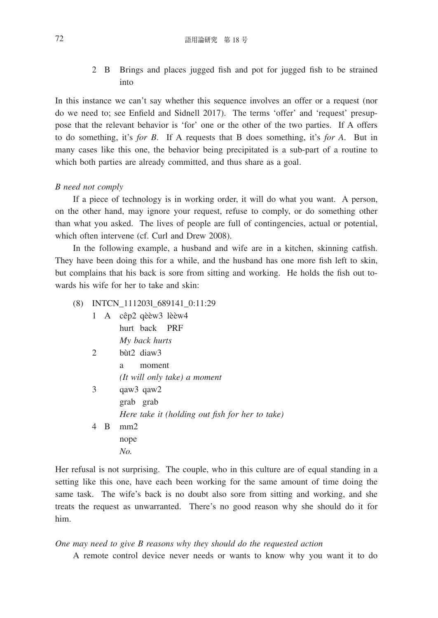2 B Brings and places jugged fish and pot for jugged fish to be strained into

In this instance we can't say whether this sequence involves an offer or a request (nor do we need to; see Enfield and Sidnell 2017). The terms 'offer' and 'request' presuppose that the relevant behavior is 'for' one or the other of the two parties. If A offers to do something, it's *for B*. If A requests that B does something, it's *for A*. But in many cases like this one, the behavior being precipitated is a sub-part of a routine to which both parties are already committed, and thus share as a goal.

## *B need not comply*

If a piece of technology is in working order, it will do what you want. A person, on the other hand, may ignore your request, refuse to comply, or do something other than what you asked. The lives of people are full of contingencies, actual or potential, which often intervene (cf. Curl and Drew 2008).

In the following example, a husband and wife are in a kitchen, skinning catfish. They have been doing this for a while, and the husband has one more fish left to skin, but complains that his back is sore from sitting and working. He holds the fish out towards his wife for her to take and skin:

- (8) INTCN\_111203l\_689141\_0:11:29
	- 1 A cêp2 qèèw3 lèèw4 hurt back PRF  *My back hurts*
	- 2 bùt2 diaw3 a moment  *(It will only take) a moment* 3 qaw3 qaw2 grab grab  *Here take it (holding out fish for her to take)* 4 B mm2 nope  *No.*

Her refusal is not surprising. The couple, who in this culture are of equal standing in a setting like this one, have each been working for the same amount of time doing the same task. The wife's back is no doubt also sore from sitting and working, and she treats the request as unwarranted. There's no good reason why she should do it for him.

## *One may need to give B reasons why they should do the requested action*

A remote control device never needs or wants to know why you want it to do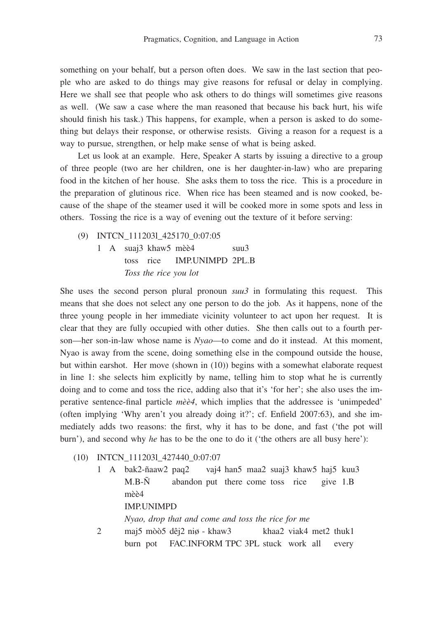something on your behalf, but a person often does. We saw in the last section that people who are asked to do things may give reasons for refusal or delay in complying. Here we shall see that people who ask others to do things will sometimes give reasons as well. (We saw a case where the man reasoned that because his back hurt, his wife should finish his task.) This happens, for example, when a person is asked to do something but delays their response, or otherwise resists. Giving a reason for a request is a way to pursue, strengthen, or help make sense of what is being asked.

Let us look at an example. Here, Speaker A starts by issuing a directive to a group of three people (two are her children, one is her daughter-in-law) who are preparing food in the kitchen of her house. She asks them to toss the rice. This is a procedure in the preparation of glutinous rice. When rice has been steamed and is now cooked, because of the shape of the steamer used it will be cooked more in some spots and less in others. Tossing the rice is a way of evening out the texture of it before serving:

(9) INTCN\_111203l\_425170\_0:07:05 1 A suaj3 khaw5 mèè4 suu3 toss rice IMP.UNIMPD 2PL.B. *Toss the rice you lot*

She uses the second person plural pronoun *suu3* in formulating this request. This means that she does not select any one person to do the job. As it happens, none of the three young people in her immediate vicinity volunteer to act upon her request. It is clear that they are fully occupied with other duties. She then calls out to a fourth person—her son-in-law whose name is *Nyao*—to come and do it instead. At this moment, Nyao is away from the scene, doing something else in the compound outside the house, but within earshot. Her move (shown in (10)) begins with a somewhat elaborate request in line 1: she selects him explicitly by name, telling him to stop what he is currently doing and to come and toss the rice, adding also that it's 'for her'; she also uses the imperative sentence-final particle *mèè4*, which implies that the addressee is 'unimpeded' (often implying 'Why aren't you already doing it?'; cf. Enfield 2007:63), and she immediately adds two reasons: the first, why it has to be done, and fast ('the pot will burn'), and second why *he* has to be the one to do it ('the others are all busy here'):

- (10) INTCN\_111203l\_427440\_0:07:07
	- 1 A bak2-ñaaw2 paq2 vaj4 han5 maa2 suaj3 khaw5 haj5 kuu3 M.B-Ñ abandon put there come toss rice give 1.B mèè4 IMP.UNIMPD *Nyao, drop that and come and toss the rice for me* 2 maj5 mòò5 dêj2 niø - khaw3 khaa2 viak4 met2 thuk1
	- burn pot FAC.INFORM TPC 3PL stuck work all every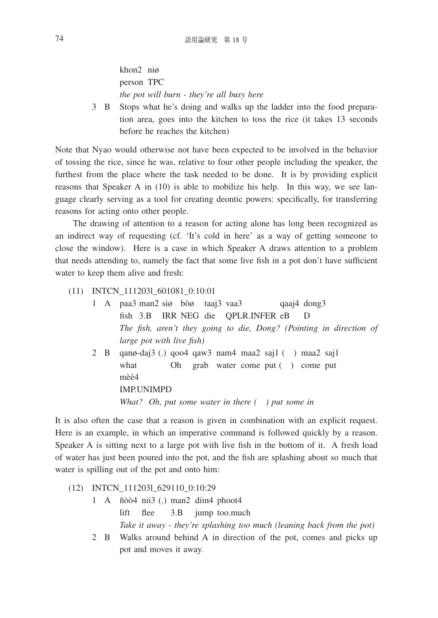khon2 niø person TPC *the pot will burn - they're all busy here*

 3 B Stops what he's doing and walks up the ladder into the food preparation area, goes into the kitchen to toss the rice (it takes 13 seconds before he reaches the kitchen)

Note that Nyao would otherwise not have been expected to be involved in the behavior of tossing the rice, since he was, relative to four other people including the speaker, the furthest from the place where the task needed to be done. It is by providing explicit reasons that Speaker A in (10) is able to mobilize his help. In this way, we see language clearly serving as a tool for creating deontic powers: specifically, for transferring reasons for acting onto other people.

The drawing of attention to a reason for acting alone has long been recognized as an indirect way of requesting (cf. 'It's cold in here' as a way of getting someone to close the window). Here is a case in which Speaker A draws attention to a problem that needs attending to, namely the fact that some live fish in a pot don't have sufficient water to keep them alive and fresh:

- (11) INTCN\_111203l\_601081\_0:10:01
	- 1 A paa3 man2 siø bòø taaj3 vaa3 qaaj4 dong3 fish 3.B IRR NEG die QPLR.INFER eB D *The fish, aren't they going to die, Dong? (Pointing in direction of large pot with live fish)*
	- 2 B qanø-daj3 (.) qoo4 qaw3 nam4 maa2 saj1 ( ) maa2 saj1 what Oh grab water come put () come put mèè4 IMP.UNIMPD *What? Oh, put some water in there ( ) put some in*

It is also often the case that a reason is given in combination with an explicit request. Here is an example, in which an imperative command is followed quickly by a reason. Speaker A is sitting next to a large pot with live fish in the bottom of it. A fresh load of water has just been poured into the pot, and the fish are splashing about so much that water is spilling out of the pot and onto him:

- (12) INTCN\_111203l\_629110\_0:10:29
	- 1 A ñòò4 nii3 (.) man2 diin4 phoot4 lift flee 3.B jump too.much  *Take it away - they're splashing too much (leaning back from the pot)*
	- 2 B Walks around behind A in direction of the pot, comes and picks up pot and moves it away.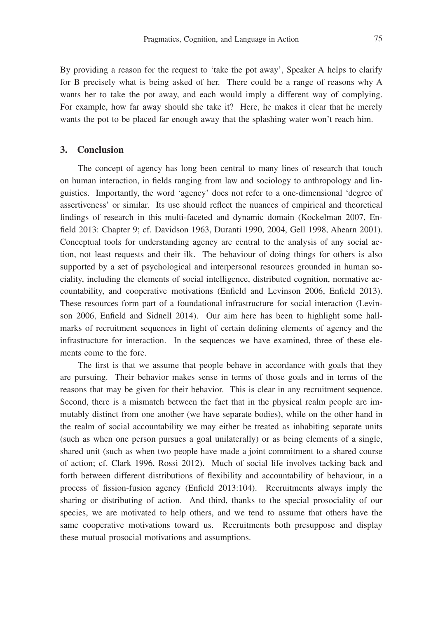By providing a reason for the request to 'take the pot away', Speaker A helps to clarify for B precisely what is being asked of her. There could be a range of reasons why A wants her to take the pot away, and each would imply a different way of complying. For example, how far away should she take it? Here, he makes it clear that he merely wants the pot to be placed far enough away that the splashing water won't reach him.

## **3. Conclusion**

The concept of agency has long been central to many lines of research that touch on human interaction, in fields ranging from law and sociology to anthropology and linguistics. Importantly, the word 'agency' does not refer to a one-dimensional 'degree of assertiveness' or similar. Its use should reflect the nuances of empirical and theoretical findings of research in this multi-faceted and dynamic domain (Kockelman 2007, Enfield 2013: Chapter 9; cf. Davidson 1963, Duranti 1990, 2004, Gell 1998, Ahearn 2001). Conceptual tools for understanding agency are central to the analysis of any social action, not least requests and their ilk. The behaviour of doing things for others is also supported by a set of psychological and interpersonal resources grounded in human sociality, including the elements of social intelligence, distributed cognition, normative accountability, and cooperative motivations (Enfield and Levinson 2006, Enfield 2013). These resources form part of a foundational infrastructure for social interaction (Levinson 2006, Enfield and Sidnell 2014). Our aim here has been to highlight some hallmarks of recruitment sequences in light of certain defining elements of agency and the infrastructure for interaction. In the sequences we have examined, three of these elements come to the fore.

The first is that we assume that people behave in accordance with goals that they are pursuing. Their behavior makes sense in terms of those goals and in terms of the reasons that may be given for their behavior. This is clear in any recruitment sequence. Second, there is a mismatch between the fact that in the physical realm people are immutably distinct from one another (we have separate bodies), while on the other hand in the realm of social accountability we may either be treated as inhabiting separate units (such as when one person pursues a goal unilaterally) or as being elements of a single, shared unit (such as when two people have made a joint commitment to a shared course of action; cf. Clark 1996, Rossi 2012). Much of social life involves tacking back and forth between different distributions of flexibility and accountability of behaviour, in a process of fission-fusion agency (Enfield 2013:104). Recruitments always imply the sharing or distributing of action. And third, thanks to the special prosociality of our species, we are motivated to help others, and we tend to assume that others have the same cooperative motivations toward us. Recruitments both presuppose and display these mutual prosocial motivations and assumptions.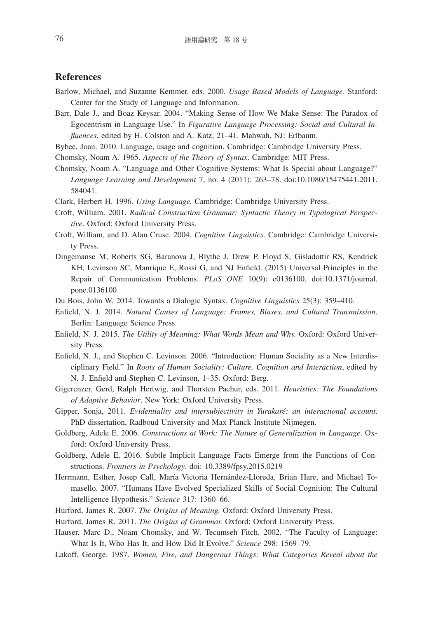# **References**

- Barlow, Michael, and Suzanne Kemmer. eds. 2000. *Usage Based Models of Language.* Stanford: Center for the Study of Language and Information.
- Barr, Dale J., and Boaz Keysar. 2004. "Making Sense of How We Make Sense: The Paradox of Egocentrism in Language Use." In *Figurative Language Processing: Social and Cultural Influences*, edited by H. Colston and A. Katz, 21–41. Mahwah, NJ: Erlbaum.
- Bybee, Joan. 2010. Language, usage and cognition. Cambridge: Cambridge University Press.
- Chomsky, Noam A. 1965. *Aspects of the Theory of Syntax*. Cambridge: MIT Press.
- Chomsky, Noam A. "Language and Other Cognitive Systems: What Is Special about Language?" *Language Learning and Development* 7, no. 4 (2011): 263–78. doi:10.1080/15475441.2011. 584041.
- Clark, Herbert H. 1996. *Using Language.* Cambridge: Cambridge University Press.
- Croft, William. 2001. *Radical Construction Grammar: Syntactic Theory in Typological Perspective*. Oxford: Oxford University Press.
- Croft, William, and D. Alan Cruse. 2004. *Cognitive Linguistics*. Cambridge: Cambridge University Press.
- Dingemanse M, Roberts SG, Baranova J, Blythe J, Drew P, Floyd S, Gisladottir RS, Kendrick KH, Levinson SC, Manrique E, Rossi G, and NJ Enfield. (2015) Universal Principles in the Repair of Communication Problems. *PLoS ONE* 10(9): e0136100. doi:10.1371/journal. pone.0136100
- Du Bois, John W. 2014. Towards a Dialogic Syntax. *Cognitive Linguistics* 25(3): 359–410.
- Enfield, N. J. 2014. *Natural Causes of Language: Frames, Biases, and Cultural Transmission*. Berlin: Language Science Press.
- Enfield, N. J. 2015. *The Utility of Meaning: What Words Mean and Why.* Oxford: Oxford University Press.
- Enfield, N. J., and Stephen C. Levinson. 2006. "Introduction: Human Sociality as a New Interdisciplinary Field." In *Roots of Human Sociality: Culture, Cognition and Interaction*, edited by N. J. Enfield and Stephen C. Levinson, 1–35. Oxford: Berg.
- Gigerenzer, Gerd, Ralph Hertwig, and Thorsten Pachur, eds. 2011. *Heuristics: The Foundations of Adaptive Behavior*. New York: Oxford University Press.
- Gipper, Sonja, 2011. *Evidentiality and intersubjectivity in Yurakaré: an interactional account*. PhD dissertation, Radboud University and Max Planck Institute Nijmegen.
- Goldberg, Adele E. 2006. *Constructions at Work: The Nature of Generalization in Language*. Oxford: Oxford University Press.
- Goldberg, Adele E. 2016. Subtle Implicit Language Facts Emerge from the Functions of Constructions. *Frontiers in Psychology*. doi: 10.3389/fpsy.2015.0219
- Herrmann, Esther, Josep Call, María Victoria Hernández-Lloreda, Brian Hare, and Michael Tomasello. 2007. "Humans Have Evolved Specialized Skills of Social Cognition: The Cultural Intelligence Hypothesis." *Science* 317: 1360–66.
- Hurford, James R. 2007. *The Origins of Meaning.* Oxford: Oxford University Press.
- Hurford, James R. 2011. *The Origins of Grammar.* Oxford: Oxford University Press.
- Hauser, Marc D., Noam Chomsky, and W. Tecumseh Fitch. 2002. "The Faculty of Language: What Is It, Who Has It, and How Did It Evolve." *Science* 298: 1569–79.
- Lakoff, George. 1987. *Women, Fire, and Dangerous Things: What Categories Reveal about the*